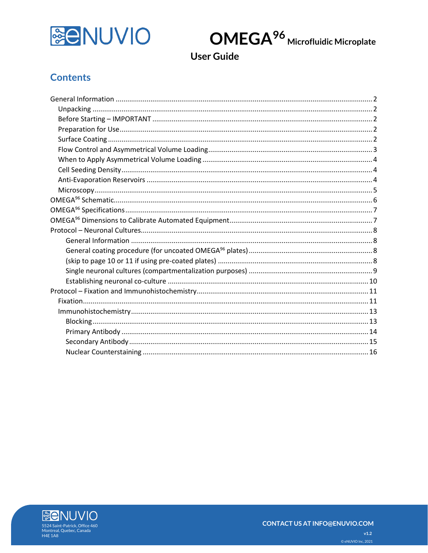



**User Guide** 

## **Contents**

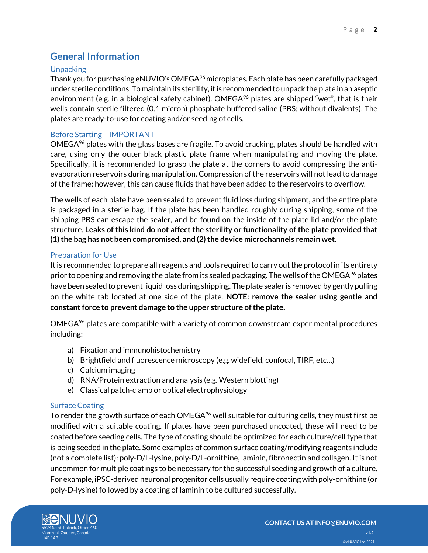## <span id="page-1-0"></span>**General Information**

### <span id="page-1-1"></span>**Unpacking**

Thank you for purchasing eNUVIO's OMEGA<sup>96</sup> microplates. Each plate has been carefully packaged under sterile conditions.To maintain its sterility, it is recommended to unpack the plate in an aseptic environment (e.g. in a biological safety cabinet). OMEGA<sup>96</sup> plates are shipped "wet", that is their wells contain sterile filtered (0.1 micron) phosphate buffered saline (PBS; without divalents). The plates are ready-to-use for coating and/or seeding of cells.

### <span id="page-1-2"></span>Before Starting – IMPORTANT

OMEGA<sup>96</sup> plates with the glass bases are fragile. To avoid cracking, plates should be handled with care, using only the outer black plastic plate frame when manipulating and moving the plate. Specifically, it is recommended to grasp the plate at the corners to avoid compressing the antievaporation reservoirs during manipulation. Compression of the reservoirs will not lead to damage of the frame; however, this can cause fluids that have been added to the reservoirs to overflow.

The wells of each plate have been sealed to prevent fluid loss during shipment, and the entire plate is packaged in a sterile bag. If the plate has been handled roughly during shipping, some of the shipping PBS can escape the sealer, and be found on the inside of the plate lid and/or the plate structure. **Leaks of this kind do not affect the sterility or functionality of the plate provided that (1) the bag has not been compromised, and (2) the device microchannels remain wet.**

### <span id="page-1-3"></span>Preparation for Use

It is recommended to prepare all reagents and tools required to carry out the protocol in its entirety prior to opening and removing the plate from its sealed packaging. The wells of the OMEGA<sup>96</sup> plates have been sealed to prevent liquid loss during shipping. The plate sealer is removed by gently pulling on the white tab located at one side of the plate. **NOTE: remove the sealer using gentle and constant force to prevent damage to the upper structure of the plate.**

OMEGA<sup>96</sup> plates are compatible with a variety of common downstream experimental procedures including:

- a) Fixation and immunohistochemistry
- b) Brightfield and fluorescence microscopy (e.g. widefield, confocal, TIRF, etc…)
- c) Calcium imaging
- d) RNA/Protein extraction and analysis (e.g. Western blotting)
- e) Classical patch-clamp or optical electrophysiology

### <span id="page-1-4"></span>Surface Coating

To render the growth surface of each OMEGA $96$  well suitable for culturing cells, they must first be modified with a suitable coating. If plates have been purchased uncoated, these will need to be coated before seeding cells. The type of coating should be optimized for each culture/cell type that is being seeded in the plate. Some examples of common surface coating/modifying reagents include (not a complete list): poly-D/L-lysine, poly-D/L-ornithine, laminin, fibronectin and collagen. It is not uncommon for multiple coatings to be necessary for the successful seeding and growth of a culture. For example, iPSC-derived neuronal progenitor cells usually require coating with poly-ornithine (or poly-D-lysine) followed by a coating of laminin to be cultured successfully.

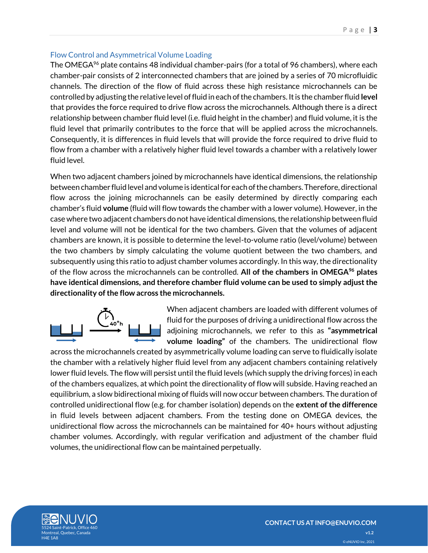### <span id="page-2-0"></span>Flow Control and Asymmetrical Volume Loading

The OMEGA<sup>96</sup> plate contains 48 individual chamber-pairs (for a total of 96 chambers), where each chamber-pair consists of 2 interconnected chambers that are joined by a series of 70 microfluidic channels. The direction of the flow of fluid across these high resistance microchannels can be controlled by adjusting the relative level of fluid in each of the chambers. It is the chamber fluid **level**  that provides the force required to drive flow across the microchannels. Although there is a direct relationship between chamber fluid level (i.e. fluid height in the chamber) and fluid volume, it is the fluid level that primarily contributes to the force that will be applied across the microchannels. Consequently, it is differences in fluid levels that will provide the force required to drive fluid to flow from a chamber with a relatively higher fluid level towards a chamber with a relatively lower fluid level.

When two adjacent chambers joined by microchannels have identical dimensions, the relationship between chamber fluid level and volume is identical for each of the chambers. Therefore, directional flow across the joining microchannels can be easily determined by directly comparing each chamber's fluid **volume** (fluid will flow towards the chamber with a lower volume). However, in the case where two adjacent chambers do not have identical dimensions, the relationship between fluid level and volume will not be identical for the two chambers. Given that the volumes of adjacent chambers are known, it is possible to determine the level-to-volume ratio (level/volume) between the two chambers by simply calculating the volume quotient between the two chambers, and subsequently using this ratio to adjust chamber volumes accordingly. In this way, the directionality of the flow across the microchannels can be controlled. **All of the chambers in OMEGA<sup>96</sup> plates have identical dimensions, and therefore chamber fluid volume can be used to simply adjust the directionality of the flow across the microchannels.**



When adjacent chambers are loaded with different volumes of fluid for the purposes of driving a unidirectional flow across the adjoining microchannels, we refer to this as **"asymmetrical volume loading"** of the chambers. The unidirectional flow

across the microchannels created by asymmetrically volume loading can serve to fluidically isolate the chamber with a relatively higher fluid level from any adjacent chambers containing relatively lower fluid levels. The flow will persist until the fluid levels (which supply the driving forces) in each of the chambers equalizes, at which point the directionality of flow will subside. Having reached an equilibrium, a slow bidirectional mixing of fluids will now occur between chambers. The duration of controlled unidirectional flow (e.g. for chamber isolation) depends on the **extent of the difference** in fluid levels between adjacent chambers. From the testing done on OMEGA devices, the unidirectional flow across the microchannels can be maintained for 40+ hours without adjusting chamber volumes. Accordingly, with regular verification and adjustment of the chamber fluid volumes, the unidirectional flow can be maintained perpetually.

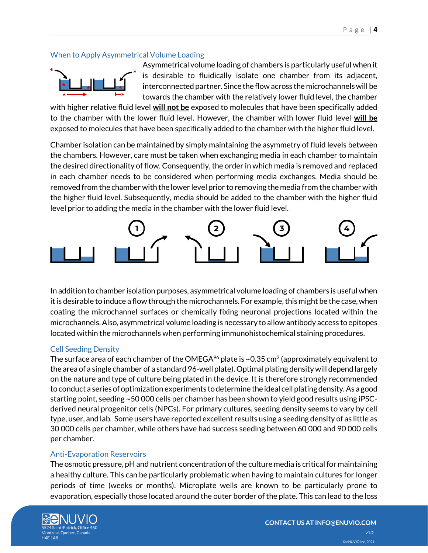### <span id="page-3-0"></span>When to Apply Asymmetrical Volume Loading



Asymmetrical volume loading of chambers is particularly useful when it is desirable to fluidically isolate one chamber from its adjacent, interconnected partner. Since the flow across the microchannels will be towards the chamber with the relatively lower fluid level, the chamber

with higher relative fluid level **will not be** exposed to molecules that have been specifically added to the chamber with the lower fluid level. However, the chamber with lower fluid level **will be** exposed to molecules that have been specifically added to the chamber with the higher fluid level.

Chamber isolation can be maintained by simply maintaining the asymmetry of fluid levels between the chambers. However, care must be taken when exchanging media in each chamber to maintain the desired directionality of flow. Consequently, the order in which media is removed and replaced in each chamber needs to be considered when performing media exchanges. Media should be removed from the chamber with the lower level prior to removing the media from the chamber with the higher fluid level. Subsequently, media should be added to the chamber with the higher fluid level prior to adding the media in the chamber with the lower fluid level.



In addition to chamber isolation purposes, asymmetrical volume loading of chambers is useful when it is desirable to induce a flow through the microchannels. For example, this might be the case, when coating the microchannel surfaces or chemically fixing neuronal projections located within the microchannels. Also, asymmetrical volume loading is necessary to allow antibody access to epitopes located within the microchannels when performing immunohistochemical staining procedures.

### <span id="page-3-1"></span>Cell Seeding Density

The surface area of each chamber of the OMEGA $^{96}$  plate is ~0.35 cm $^2$  (approximately equivalent to the area of a single chamber of a standard 96-well plate). Optimal plating density will depend largely on the nature and type of culture being plated in the device. It is therefore strongly recommended to conduct a series of optimization experiments to determine the ideal cell plating density. As a good starting point, seeding ~50 000 cells per chamber has been shown to yield good results using iPSCderived neural progenitor cells (NPCs). For primary cultures, seeding density seems to vary by cell type, user, and lab. Some users have reported excellent results using a seeding density of as little as 30 000 cells per chamber, while others have had success seeding between 60 000 and 90 000 cells per chamber.

### <span id="page-3-2"></span>Anti-Evaporation Reservoirs

The osmotic pressure, pH and nutrient concentration of the culture media is critical for maintaining a healthy culture. This can be particularly problematic when having to maintain cultures for longer periods of time (weeks or months). Microplate wells are known to be particularly prone to evaporation, especially those located around the outer border of the plate. This can lead to the loss

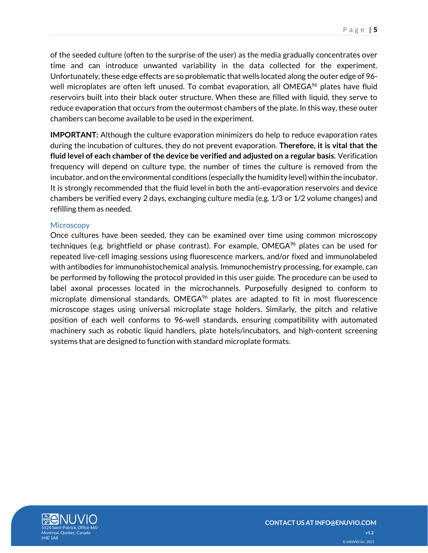of the seeded culture (often to the surprise of the user) as the media gradually concentrates over time and can introduce unwanted variability in the data collected for the experiment. Unfortunately, these edge effects are so problematic that wells located along the outer edge of 96 well microplates are often left unused. To combat evaporation, all OMEGA<sup>96</sup> plates have fluid reservoirs built into their black outer structure. When these are filled with liquid, they serve to reduce evaporation that occurs from the outermost chambers of the plate. In this way, these outer chambers can become available to be used in the experiment.

**IMPORTANT:** Although the culture evaporation minimizers do help to reduce evaporation rates during the incubation of cultures, they do not prevent evaporation. **Therefore, it is vital that the fluid level of each chamber of the device be verified and adjusted on a regular basis.** Verification frequency will depend on culture type, the number of times the culture is removed from the incubator, and on the environmental conditions (especially the humidity level) within the incubator. It is strongly recommended that the fluid level in both the anti-evaporation reservoirs and device chambers be verified every 2 days, exchanging culture media (e.g. 1/3 or 1/2 volume changes) and refilling them as needed.

### <span id="page-4-0"></span>**Microscopy**

Once cultures have been seeded, they can be examined over time using common microscopy techniques (e.g. brightfield or phase contrast). For example, OMEGA<sup>96</sup> plates can be used for repeated live-cell imaging sessions using fluorescence markers, and/or fixed and immunolabeled with antibodies for immunohistochemical analysis. Immunochemistry processing, for example, can be performed by following the protocol provided in this user guide. The procedure can be used to label axonal processes located in the microchannels. Purposefully designed to conform to microplate dimensional standards,  $OMEGA^{96}$  plates are adapted to fit in most fluorescence microscope stages using universal microplate stage holders. Similarly, the pitch and relative position of each well conforms to 96-well standards, ensuring compatibility with automated machinery such as robotic liquid handlers, plate hotels/incubators, and high-content screening systems that are designed to function with standard microplate formats.

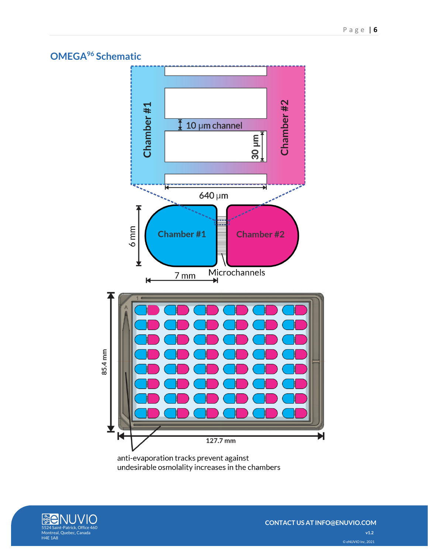## <span id="page-5-0"></span>**OMEGA<sup>96</sup> Schematic**



undesirable osmolality increases in the chambers

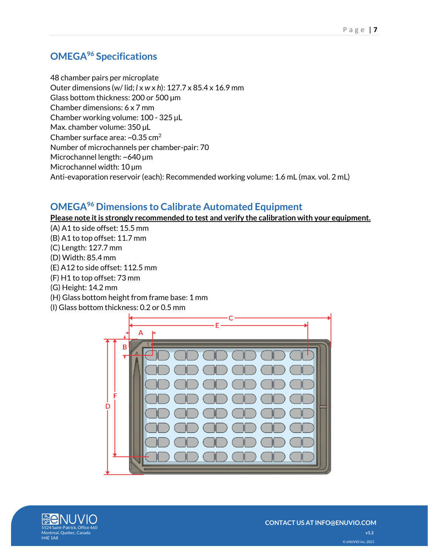# <span id="page-6-0"></span>**OMEGA<sup>96</sup> Specifications**

48 chamber pairs per microplate Outer dimensions (w/ lid; *l* x *w* x *h*): 127.7 x 85.4 x 16.9 mm Glass bottom thickness: 200 or 500 µm Chamber dimensions: 6 x 7 mm Chamber working volume: 100 - 325 µL Max. chamber volume: 350 µL Chamber surface area: ~0.35 cm<sup>2</sup> Number of microchannels per chamber-pair: 70 Microchannel length: ~640 µm Microchannel width: 10 µm Anti-evaporation reservoir (each): Recommended working volume: 1.6 mL (max. vol. 2 mL)

# <span id="page-6-1"></span>**OMEGA<sup>96</sup> Dimensions to Calibrate Automated Equipment**

**Please note it is strongly recommended to test and verify the calibration with your equipment.**

- (A) A1 to side offset: 15.5 mm
- (B) A1 to top offset: 11.7 mm
- (C) Length: 127.7 mm
- (D) Width: 85.4 mm
- (E) A12 to side offset: 112.5 mm
- (F) H1 to top offset: 73 mm
- (G) Height: 14.2 mm
- (H) Glass bottom height from frame base: 1 mm
- (I) Glass bottom thickness: 0.2 or 0.5 mm



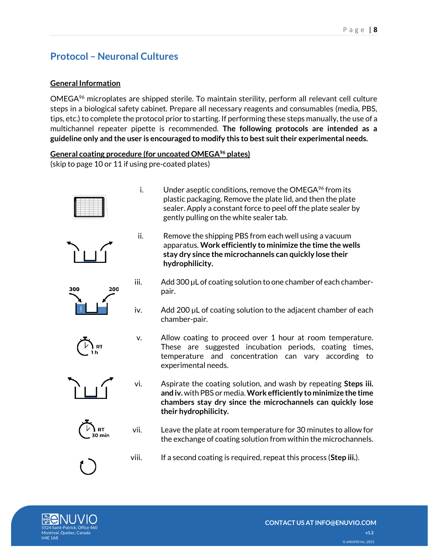# <span id="page-7-0"></span>**Protocol – Neuronal Cultures**

### <span id="page-7-1"></span>**General Information**

OMEGA<sup>96</sup> microplates are shipped sterile. To maintain sterility, perform all relevant cell culture steps in a biological safety cabinet. Prepare all necessary reagents and consumables (media, PBS, tips, etc.) to complete the protocol prior to starting. If performing these steps manually, the use of a multichannel repeater pipette is recommended. **The following protocols are intended as a guideline only and the user is encouraged to modify this to best suit their experimental needs.**

### <span id="page-7-2"></span>**General coating procedure (for uncoated OMEGA<sup>96</sup> plates)**

<span id="page-7-3"></span>(skip to page 10 or 11 if using pre-coated plates)





300

ii. Remove the shipping PBS from each well using a vacuum apparatus. **Work efficiently to minimize the time the wells stay dry since the microchannels can quickly lose their** 

i. Under aseptic conditions, remove the OMEGA $96$  from its

gently pulling on the white sealer tab.

**hydrophilicity.**

plastic packaging. Remove the plate lid, and then the plate sealer. Apply a constant force to peel off the plate sealer by

- iii. Add 300 µL of coating solution to one chamber of each chamberpair.
- iv. Add 200 µL of coating solution to the adjacent chamber of each chamber-pair.
- v. Allow coating to proceed over 1 hour at room temperature. These are suggested incubation periods, coating times, temperature and concentration can vary according to experimental needs.
- vi. Aspirate the coating solution, and wash by repeating **Steps iii. and iv.** with PBS or media. **Work efficiently to minimize the time chambers stay dry since the microchannels can quickly lose their hydrophilicity.**
- vii. Leave the plate at room temperature for 30 minutes to allow for the exchange of coating solution from within the microchannels.
- viii. If a second coating is required, repeat this process (**Step iii.**).





200

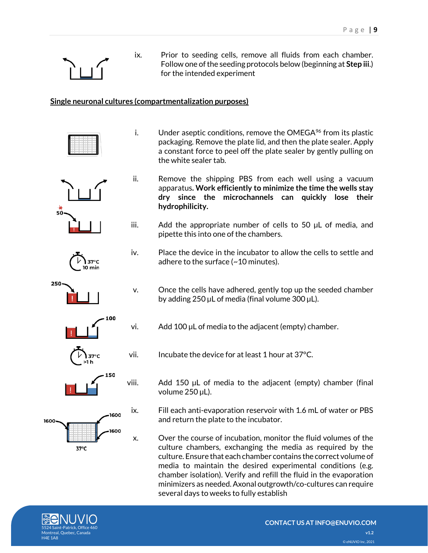

ix. Prior to seeding cells, remove all fluids from each chamber. Follow one of the seeding protocols below (beginning at **Step iii**.) for the intended experiment

i. Under aseptic conditions, remove the OMEGA $96$  from its plastic

ii. Remove the shipping PBS from each well using a vacuum

iii. Add the appropriate number of cells to 50 µL of media, and

iv. Place the device in the incubator to allow the cells to settle and

packaging. Remove the plate lid, and then the plate sealer. Apply a constant force to peel off the plate sealer by gently pulling on

apparatus**. Work efficiently to minimize the time the wells stay dry since the microchannels can quickly lose their** 

### <span id="page-8-0"></span>**Single neuronal cultures (compartmentalization purposes)**

the white sealer tab.

**hydrophilicity.**











00

600

60O



vi. Add 100 µL of media to the adjacent (empty) chamber.

vii. Incubate the device for at least 1 hour at 37°C.

pipette this into one of the chambers.

adhere to the surface (~10 minutes).

viii. Add 150 µL of media to the adjacent (empty) chamber (final volume 250 µL).

ix. Fill each anti-evaporation reservoir with 1.6 mL of water or PBS and return the plate to the incubator.

x. Over the course of incubation, monitor the fluid volumes of the culture chambers, exchanging the media as required by the culture. Ensure that each chamber contains the correct volume of media to maintain the desired experimental conditions (e.g. chamber isolation). Verify and refill the fluid in the evaporation minimizers as needed. Axonal outgrowth/co-cultures can require several days to weeks to fully establish



 $37^{\circ}$ C

1600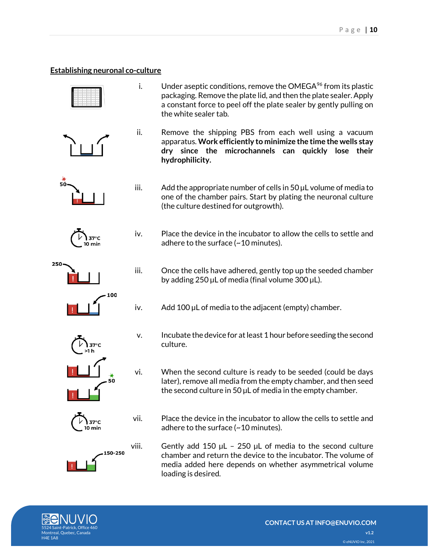#### <span id="page-9-0"></span>**Establishing neuronal co-culture**



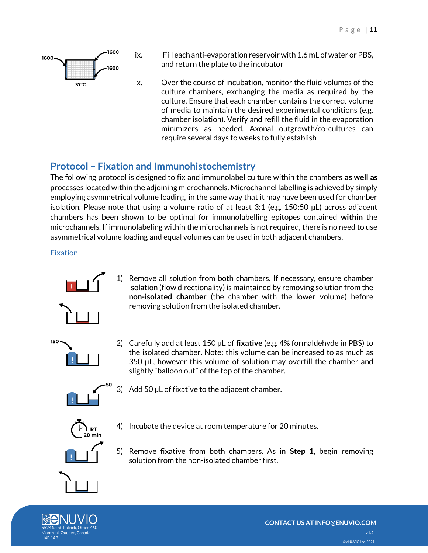

- ix. Fill each anti-evaporation reservoir with 1.6 mL of water or PBS, and return the plate to the incubator
- x. Over the course of incubation, monitor the fluid volumes of the culture chambers, exchanging the media as required by the culture. Ensure that each chamber contains the correct volume of media to maintain the desired experimental conditions (e.g. chamber isolation). Verify and refill the fluid in the evaporation minimizers as needed. Axonal outgrowth/co-cultures can require several days to weeks to fully establish

### <span id="page-10-0"></span>**Protocol – Fixation and Immunohistochemistry**

The following protocol is designed to fix and immunolabel culture within the chambers **as well as** processes located within the adjoining microchannels. Microchannel labelling is achieved by simply employing asymmetrical volume loading, in the same way that it may have been used for chamber isolation. Please note that using a volume ratio of at least 3:1 (e.g. 150:50 µL) across adjacent chambers has been shown to be optimal for immunolabelling epitopes contained **within** the microchannels. If immunolabeling within the microchannels is not required, there is no need to use asymmetrical volume loading and equal volumes can be used in both adjacent chambers.

### <span id="page-10-1"></span>Fixation



1) Remove all solution from both chambers. If necessary, ensure chamber isolation (flow directionality) is maintained by removing solution from the **non-isolated chamber** (the chamber with the lower volume) before removing solution from the isolated chamber.



2) Carefully add at least 150 µL of **fixative** (e.g. 4% formaldehyde in PBS) to the isolated chamber. Note: this volume can be increased to as much as 350 µL, however this volume of solution may overfill the chamber and slightly "balloon out" of the top of the chamber.



3) Add 50 µL of fixative to the adjacent chamber.



- 4) Incubate the device at room temperature for 20 minutes.
- 5) Remove fixative from both chambers. As in **Step 1**, begin removing solution from the non-isolated chamber first.

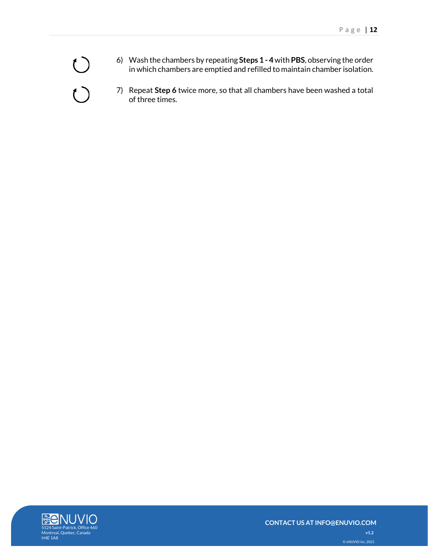- 6) Wash the chambers by repeating **Steps 1 - 4**with **PBS**, observing the order in which chambers are emptied and refilled to maintain chamber isolation.
- 7) Repeat **Step 6** twice more, so that all chambers have been washed a total of three times.



 $\bigcirc$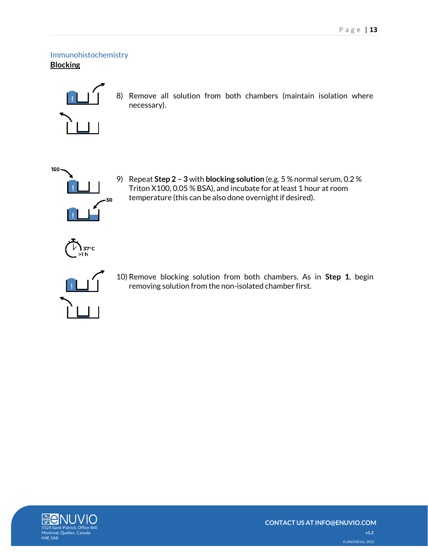<span id="page-12-1"></span><span id="page-12-0"></span>Immunohistochemistry **Blocking**



8) Remove all solution from both chambers (maintain isolation where necessary).



9) Repeat **Step 2 – 3** with **blocking solution** (e.g. 5 % normal serum, 0.2 % Triton X100, 0.05 % BSA), and incubate for at least 1 hour at room temperature (this can be also done overnight if desired).





10) Remove blocking solution from both chambers. As in **Step 1**, begin removing solution from the non-isolated chamber first.

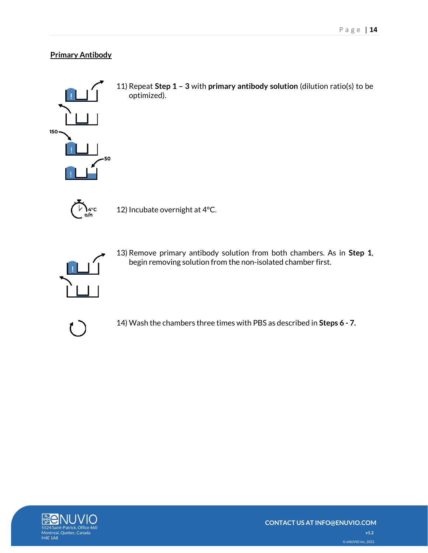### <span id="page-13-0"></span>**Primary Antibody**



11) Repeat **Step 1 – 3** with **primary antibody solution** (dilution ratio(s) to be optimized).



12) Incubate overnight at 4°C.



13) Remove primary antibody solution from both chambers. As in **Step 1**, begin removing solution from the non-isolated chamber first.



14) Wash the chambers three times with PBS as described in **Steps 6 - 7.**

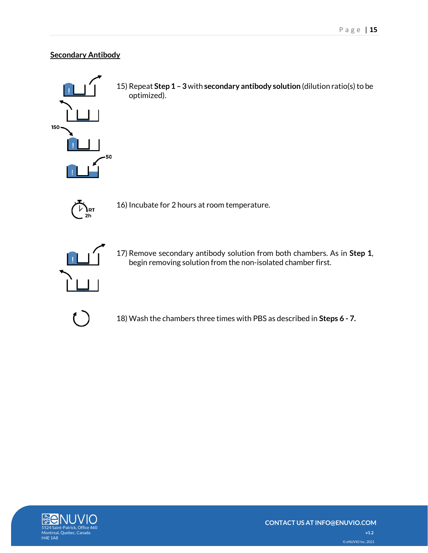### <span id="page-14-0"></span>**Secondary Antibody**



15) Repeat **Step 1 – 3**with **secondary antibody solution** (dilution ratio(s) to be optimized).



16) Incubate for 2 hours at room temperature.



17) Remove secondary antibody solution from both chambers. As in **Step 1**, begin removing solution from the non-isolated chamber first.



18) Wash the chambers three times with PBS as described in **Steps 6 - 7.**